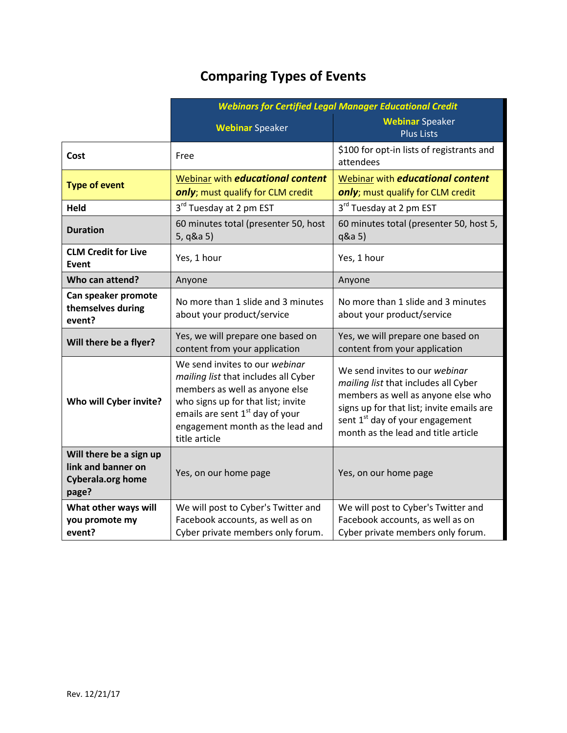## **Comparing Types of Events**

|                                                                                    | <b>Webinars for Certified Legal Manager Educational Credit</b>                                                                                                                                                                                     |                                                                                                                                                                                                                                                 |
|------------------------------------------------------------------------------------|----------------------------------------------------------------------------------------------------------------------------------------------------------------------------------------------------------------------------------------------------|-------------------------------------------------------------------------------------------------------------------------------------------------------------------------------------------------------------------------------------------------|
|                                                                                    | <b>Webinar Speaker</b>                                                                                                                                                                                                                             | <b>Webinar Speaker</b><br><b>Plus Lists</b>                                                                                                                                                                                                     |
| Cost                                                                               | Free                                                                                                                                                                                                                                               | \$100 for opt-in lists of registrants and<br>attendees                                                                                                                                                                                          |
| <b>Type of event</b>                                                               | Webinar with <i>educational content</i><br>only; must qualify for CLM credit                                                                                                                                                                       | Webinar with <i>educational content</i><br>only; must qualify for CLM credit                                                                                                                                                                    |
| <b>Held</b>                                                                        | 3rd Tuesday at 2 pm EST                                                                                                                                                                                                                            | 3rd Tuesday at 2 pm EST                                                                                                                                                                                                                         |
| <b>Duration</b>                                                                    | 60 minutes total (presenter 50, host<br>5, q&a 5)                                                                                                                                                                                                  | 60 minutes total (presenter 50, host 5,<br>q&a 5)                                                                                                                                                                                               |
| <b>CLM Credit for Live</b><br><b>Event</b>                                         | Yes, 1 hour                                                                                                                                                                                                                                        | Yes, 1 hour                                                                                                                                                                                                                                     |
| Who can attend?                                                                    | Anyone                                                                                                                                                                                                                                             | Anyone                                                                                                                                                                                                                                          |
| Can speaker promote<br>themselves during<br>event?                                 | No more than 1 slide and 3 minutes<br>about your product/service                                                                                                                                                                                   | No more than 1 slide and 3 minutes<br>about your product/service                                                                                                                                                                                |
| Will there be a flyer?                                                             | Yes, we will prepare one based on<br>content from your application                                                                                                                                                                                 | Yes, we will prepare one based on<br>content from your application                                                                                                                                                                              |
| Who will Cyber invite?                                                             | We send invites to our webinar<br>mailing list that includes all Cyber<br>members as well as anyone else<br>who signs up for that list; invite<br>emails are sent 1 <sup>st</sup> day of your<br>engagement month as the lead and<br>title article | We send invites to our webinar<br>mailing list that includes all Cyber<br>members as well as anyone else who<br>signs up for that list; invite emails are<br>sent 1 <sup>st</sup> day of your engagement<br>month as the lead and title article |
| Will there be a sign up<br>link and banner on<br><b>Cyberala.org home</b><br>page? | Yes, on our home page                                                                                                                                                                                                                              | Yes, on our home page                                                                                                                                                                                                                           |
| What other ways will<br>you promote my<br>event?                                   | We will post to Cyber's Twitter and<br>Facebook accounts, as well as on<br>Cyber private members only forum.                                                                                                                                       | We will post to Cyber's Twitter and<br>Facebook accounts, as well as on<br>Cyber private members only forum.                                                                                                                                    |